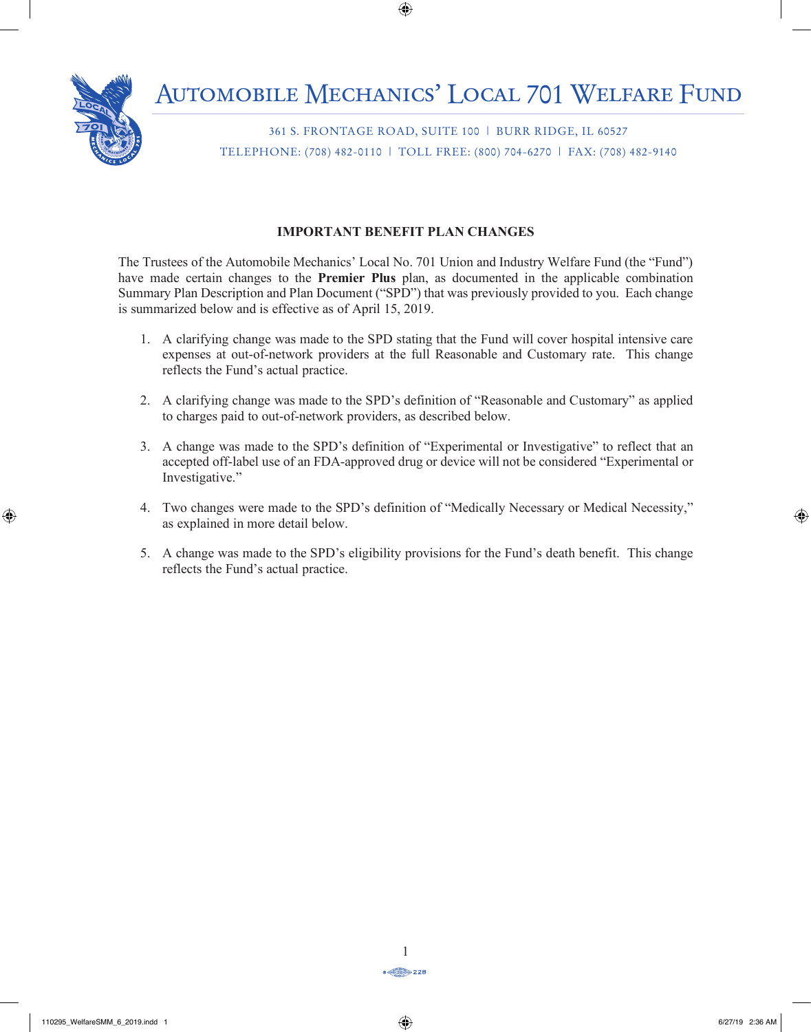

361 S. FRONTAGE ROAD, SUITE 100 | BURR RIDGE, IL 60527 TELEPHONE: (708) 482-0110 | TOLL FREE: (800) 704-6270 | FAX: (708) 482-9140

#### **IMPORTANT BENEFIT PLAN CHANGES** IMPORTANT BENEFIT PLAN CHANGES

The Trustees of the Automobile Mechanics' Local No. 701 Union and Industry Welfare Fund (the "Fund") have made certain changes to the **Premier Plus** plan, as documented in the applicable combination have made certain changes to the **Premier Plus** plan, as documented in the applicable combination Summary Plan Description and Plan Document ("SPD") that was previously provided to you. Each change is summarized below and is effective as of April 15, 2019.  $\mathbf{E}$ 

- 1. A clarifying change was made to the SPD stating that the Fund will cover hospital intensive care expenses at out-of-network providers at the full Reasonable and Customary rate. This change reflects the Fund's actual practice.
- 2. A clarifying change was made to the SPD's definition of "Reasonable and Customary" as applied to charges paid to out-of-network providers, as described below.
- 3. A change was made to the SPD's definition of "Experimental or Investigative" to reflect that an accepted off-label use of an FDA-approved drug or device will not be considered "Experimental or<br>Investigative " Investigative." **INSURANCE INFORMATION** m Unum Life Insurance Company of America to pay certain visitor, life, long term disability of  $\mu$
- 4. Two changes were made to the SPD's definition of "Medically Necessary or Medical Necessity," as explained in more detail below.
	- 5. A change was made to the SPD's eligibility provisions for the Fund's death benefit. This change reflects the Fund's actual practice.

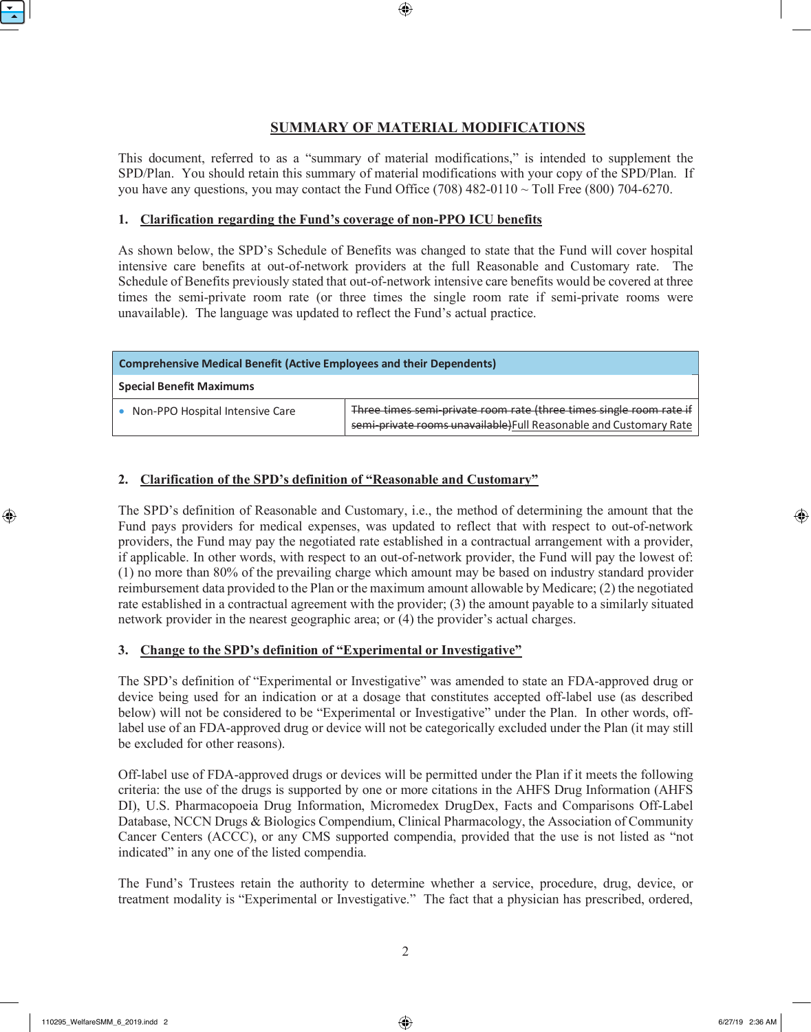# **SUMMARY OF MATERIAL MODIFICATIONS**

This document, referred to as a "summary of material modifications," is intended to supplement the SPD/Plan. You should retain this summary of material modifications with your copy of the SPD/Plan. If you have any questions, you may contact the Fund Office (708) 482-0110  $\sim$  Toll Free (800) 704-6270.

#### **1. Clarification regarding the Fund's coverage of non-PPO ICU benefits**

As shown below, the SPD's Schedule of Benefits was changed to state that the Fund will cover hospital intensive care benefits at out-of-network providers at the full Reasonable and Customary rate. The Schedule of Benefits previously stated that out-of-network intensive care benefits would be covered at three times the semi-private room rate (or three times the single room rate if semi-private rooms were unavailable). The language was updated to reflect the Fund's actual practice.

| <b>Comprehensive Medical Benefit (Active Employees and their Dependents)</b> |                                                                                                                                           |
|------------------------------------------------------------------------------|-------------------------------------------------------------------------------------------------------------------------------------------|
| <b>Special Benefit Maximums</b>                                              |                                                                                                                                           |
| • Non-PPO Hospital Intensive Care                                            | Three times semi-private room rate (three times single room rate if<br>semi-private rooms unavailable. Full Reasonable and Customary Rate |

#### **2. Clarification of the SPD's definition of "Reasonable and Customary"**

The SPD's definition of Reasonable and Customary, i.e., the method of determining the amount that the Fund pays providers for medical expenses, was updated to reflect that with respect to out-of-network providers, the Fund may pay the negotiated rate established in a contractual arrangement with a provider, if applicable. In other words, with respect to an out-of-network provider, the Fund will pay the lowest of: (1) no more than 80% of the prevailing charge which amount may be based on industry standard provider reimbursement data provided to the Plan or the maximum amount allowable by Medicare; (2) the negotiated rate established in a contractual agreement with the provider; (3) the amount payable to a similarly situated network provider in the nearest geographic area; or (4) the provider's actual charges.

#### **3. Change to the SPD's definition of "Experimental or Investigative"**

The SPD's definition of "Experimental or Investigative" was amended to state an FDA-approved drug or device being used for an indication or at a dosage that constitutes accepted off-label use (as described below) will not be considered to be "Experimental or Investigative" under the Plan. In other words, offlabel use of an FDA-approved drug or device will not be categorically excluded under the Plan (it may still be excluded for other reasons).

Off-label use of FDA-approved drugs or devices will be permitted under the Plan if it meets the following criteria: the use of the drugs is supported by one or more citations in the AHFS Drug Information (AHFS DI), U.S. Pharmacopoeia Drug Information, Micromedex DrugDex, Facts and Comparisons Off-Label Database, NCCN Drugs & Biologics Compendium, Clinical Pharmacology, the Association of Community Cancer Centers (ACCC), or any CMS supported compendia, provided that the use is not listed as "not indicated" in any one of the listed compendia.

The Fund's Trustees retain the authority to determine whether a service, procedure, drug, device, or treatment modality is "Experimental or Investigative." The fact that a physician has prescribed, ordered,